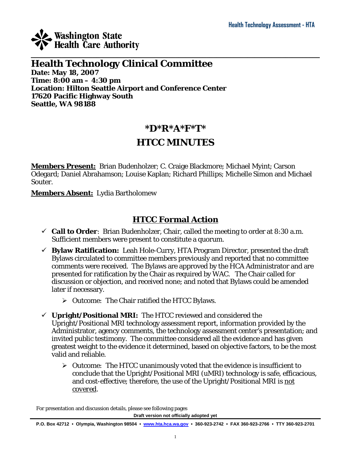

### $\_$  , and the set of the set of the set of the set of the set of the set of the set of the set of the set of the set of the set of the set of the set of the set of the set of the set of the set of the set of the set of th **Health Technology Clinical Committee Date: May 18, 2007 Time: 8:00 am – 4:30 pm Location: Hilton Seattle Airport and Conference Center 17620 Pacific Highway South Seattle, WA 98188**

## **\*D\*R\*A\*F\*T\***

## **HTCC MINUTES**

**Members Present:** Brian Budenholzer; C. Craige Blackmore; Michael Myint; Carson Odegard; Daniel Abrahamson; Louise Kaplan; Richard Phillips; Michelle Simon and Michael Souter.

**Members Absent:** Lydia Bartholomew

## **HTCC Formal Action**

- $\checkmark$  **Call to Order**: Brian Budenholzer, Chair, called the meeting to order at 8:30 a.m. Sufficient members were present to constitute a quorum.
- 9 **Bylaw Ratification:** Leah Hole-Curry, HTA Program Director, presented the draft Bylaws circulated to committee members previously and reported that no committee comments were received. The Bylaws are approved by the HCA Administrator and are presented for ratification by the Chair as required by WAC. The Chair called for discussion or objection, and received none; and noted that Bylaws could be amended later if necessary.
	- ¾ *Outcome:* The Chair ratified the HTCC Bylaws.
- $\checkmark$  **Upright/Positional MRI:** The HTCC reviewed and considered the Upright/Positional MRI technology assessment report, information provided by the Administrator, agency comments, the technology assessment center's presentation; and invited public testimony. The committee considered all the evidence and has given greatest weight to the evidence it determined, based on objective factors, to be the most valid and reliable.
	- ¾ *Outcome:* The HTCC unanimously voted that the evidence is insufficient to conclude that the Upright/Positional MRI (uMRI) technology is safe, efficacious, and cost-effective; therefore, the use of the Upright/Positional MRI is *not covered*.

For presentation and discussion details, please see following pages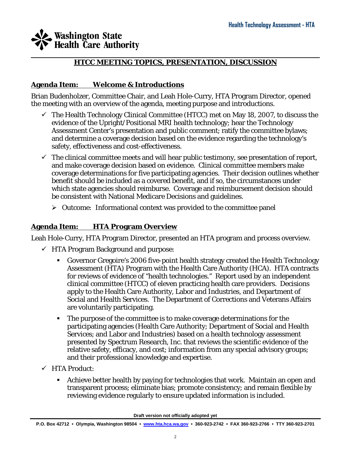#### $\_$  , and the set of the set of the set of the set of the set of the set of the set of the set of the set of the set of the set of the set of the set of the set of the set of the set of the set of the set of the set of th **HTCC MEETING TOPICS, PRESENTATION, DISCUSSION**

### **Agenda Item: Welcome & Introductions**

Brian Budenholzer, Committee Chair, and Leah Hole-Curry, HTA Program Director, opened the meeting with an overview of the agenda, meeting purpose and introductions.

- $\checkmark$  The Health Technology Clinical Committee (HTCC) met on May 18, 2007, to discuss the evidence of the Upright/Positional MRI health technology; hear the Technology Assessment Center's presentation and public comment; ratify the committee bylaws; and determine a coverage decision based on the evidence regarding the technology's safety, effectiveness and cost-effectiveness.
- $\checkmark$  The clinical committee meets and will hear public testimony, see presentation of report, and make coverage decision based on evidence. Clinical committee members make coverage determinations for five participating agencies. Their decision outlines whether benefit should be included as a covered benefit, and if so, the circumstances under which state agencies should reimburse. Coverage and reimbursement decision should be consistent with National Medicare Decisions and guidelines.
	- ¾ *Outcome:* Informational context was provided to the committee panel

### **Agenda Item: HTA Program Overview**

Leah Hole-Curry, HTA Program Director, presented an HTA program and process overview.

- $\checkmark$  HTA Program Background and purpose:
	- Governor Gregoire's 2006 five-point health strategy created the Health Technology Assessment (HTA) Program with the Health Care Authority (HCA). HTA contracts for reviews of evidence of "health technologies." Report used by an independent clinical committee (HTCC) of eleven practicing health care providers. Decisions apply to the Health Care Authority, Labor and Industries, and Department of Social and Health Services. The Department of Corrections and Veterans Affairs are voluntarily participating.
	- The purpose of the committee is to make coverage determinations for the participating agencies (Health Care Authority; Department of Social and Health Services; and Labor and Industries) based on a health technology assessment presented by Spectrum Research, Inc. that reviews the scientific evidence of the relative safety, efficacy, and cost; information from any special advisory groups; and their professional knowledge and expertise.
- $\checkmark$  HTA Product:
	- Achieve better health by paying for technologies that work. Maintain an open and transparent process; eliminate bias; promote consistency; and remain flexible by reviewing evidence regularly to ensure updated information is included.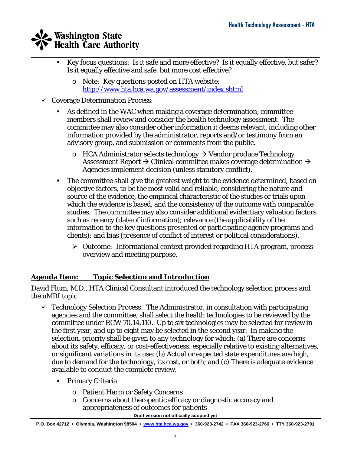- $\_$  , and the set of the set of the set of the set of the set of the set of the set of the set of the set of the set of the set of the set of the set of the set of the set of the set of the set of the set of the set of th Key focus questions: Is it safe and more effective? Is it equally effective, but safer? Is it equally effective and safe, but more cost effective?
	- o *Note:* Key questions posted on HTA website: <http://www.hta.hca.wa.gov/assessment/index.shtml>
	- $\checkmark$  Coverage Determination Process:
		- As defined in the WAC when making a coverage determination, committee members shall review and consider the health technology assessment. The committee may also consider other information it deems relevant, including other information provided by the administrator, reports and/or testimony from an advisory group, and submission or comments from the public.
			- $\circ$  HCA Administrator selects technology  $\rightarrow$  Vendor produce Technology Assessment Report  $\rightarrow$  Clinical committee makes coverage determination  $\rightarrow$ Agencies implement decision (unless statutory conflict).
		- The committee shall give the greatest weight to the evidence determined, based on objective factors, to be the most valid and reliable, considering the nature and source of the evidence, the empirical characteristic of the studies or trials upon which the evidence is based, and the consistency of the outcome with comparable studies. The committee may also consider additional evidentiary valuation factors such as recency (date of information); relevance (the applicability of the information to the key questions presented or participating agency programs and clients); and bias (presence of conflict of interest or political considerations).
			- ¾ *Outcome:* Informational context provided regarding HTA program, process overview and meeting purpose.

### **Agenda Item: Topic Selection and Introduction**

David Flum, M.D., HTA Clinical Consultant introduced the technology selection process and the uMRI topic.

- $\checkmark$  Technology Selection Process: The Administrator, in consultation with participating agencies and the committee, shall select the health technologies to be reviewed by the committee under RCW 70.14.110. Up to six technologies may be selected for review in the first year, and up to eight may be selected in the second year. In making the selection, priority shall be given to any technology for which: (a) There are concerns about its safety, efficacy, or cost-effectiveness, especially relative to existing alternatives, or significant variations in its use; (b) Actual or expected state expenditures are high, due to demand for the technology, its cost, or both; and (c) There is adequate evidence available to conduct the complete review.
	- **Primary Criteria** 
		- o Patient Harm or Safety Concerns
		- o Concerns about therapeutic efficacy or diagnostic accuracy and appropriateness of outcomes for patients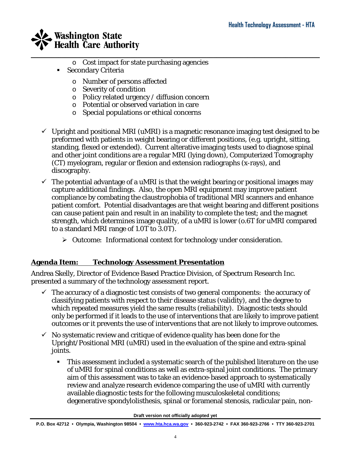

- o Cost impact for state purchasing agencies
- Secondary Criteria
	- o Number of persons affected
	- o Severity of condition
	- o Policy related urgency / diffusion concern
	- o Potential or observed variation in care
	- o Special populations or ethical concerns
- $\checkmark$  Upright and positional MRI (uMRI) is a magnetic resonance imaging test designed to be preformed with patients in weight bearing or different positions, (e.g. upright, sitting, standing, flexed or extended). Current alterative imaging tests used to diagnose spinal and other joint conditions are a regular MRI (lying down), Computerized Tomography (CT) myelogram, regular or flexion and extension radiographs (x-rays), and discography.

 $\_$  , and the set of the set of the set of the set of the set of the set of the set of the set of the set of the set of the set of the set of the set of the set of the set of the set of the set of the set of the set of th

- $\checkmark$  The potential advantage of a uMRI is that the weight bearing or positional images may capture additional findings. Also, the open MRI equipment may improve patient compliance by combating the claustrophobia of traditional MRI scanners and enhance patient comfort. Potential disadvantages are that weight bearing and different positions can cause patient pain and result in an inability to complete the test; and the magnet strength, which determines image quality, of a uMRI is lower (o.6T for uMRI compared to a standard MRI range of 1.0T to 3.0T).
	- ¾ *Outcome:* Informational context for technology under consideration.

### **Agenda Item: Technology Assessment Presentation**

Andrea Skelly, Director of Evidence Based Practice Division, of Spectrum Research Inc. presented a summary of the technology assessment report.

- $\checkmark$  The accuracy of a diagnostic test consists of two general components: the accuracy of classifying patients with respect to their disease status (validity), and the degree to which repeated measures yield the same results (reliability). Diagnostic tests should only be performed if it leads to the use of interventions that are likely to improve patient outcomes or it prevents the use of interventions that are not likely to improve outcomes.
- $\checkmark$  No systematic review and critique of evidence quality has been done for the Upright/Positional MRI (uMRI) used in the evaluation of the spine and extra-spinal joints.
	- This assessment included a systematic search of the published literature on the use of uMRI for spinal conditions as well as extra-spinal joint conditions. The primary aim of this assessment was to take an evidence-based approach to systematically review and analyze research evidence comparing the use of uMRI with currently available diagnostic tests for the following musculoskeletal conditions; degenerative spondylolisthesis, spinal or foramenal stenosis, radicular pain, non-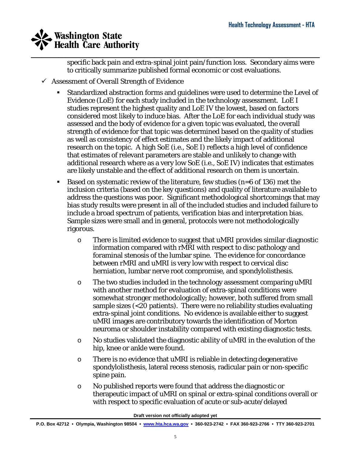$\_$  , and the set of the set of the set of the set of the set of the set of the set of the set of the set of the set of the set of the set of the set of the set of the set of the set of the set of the set of the set of th specific back pain and extra-spinal joint pain/function loss. Secondary aims were to critically summarize published formal economic or cost evaluations.

- $\checkmark$  Assessment of Overall Strength of Evidence
	- Standardized abstraction forms and guidelines were used to determine the Level of Evidence (LoE) for each study included in the technology assessment. LoE I studies represent the highest quality and LoE IV the lowest, based on factors considered most likely to induce bias. After the LoE for each individual study was assessed and the body of evidence for a given topic was evaluated, the overall strength of evidence for that topic was determined based on the quality of studies as well as consistency of effect estimates and the likely impact of additional research on the topic. A high SoE (i.e., SoE I) reflects a high level of confidence that estimates of relevant parameters are stable and unlikely to change with additional research where as a very low SoE (i.e., SoE IV) indicates that estimates are likely unstable and the effect of additional research on them is uncertain.
	- Based on systematic review of the literature, few studies ( $n=6$  of 136) met the inclusion criteria (based on the key questions) and quality of literature available to address the questions was poor. Significant methodological shortcomings that may bias study results were present in all of the included studies and included failure to include a broad spectrum of patients, verification bias and interpretation bias. Sample sizes were small and in general, protocols were not methodologically rigorous.
		- o There is limited evidence to suggest that uMRI provides similar diagnostic information compared with rMRI with respect to disc pathology and foraminal stenosis of the lumbar spine. The evidence for concordance between rMRI and uMRI is very low with respect to cervical disc herniation, lumbar nerve root compromise, and spondylolisthesis.
		- o The two studies included in the technology assessment comparing uMRI with another method for evaluation of extra-spinal conditions were somewhat stronger methodologically; however, both suffered from small sample sizes (<20 patients). There were no reliability studies evaluating extra-spinal joint conditions. No evidence is available either to suggest uMRI images are contributory towards the identification of Morton neuroma or shoulder instability compared with existing diagnostic tests.
		- o No studies validated the diagnostic ability of uMRI in the evalution of the hip, knee or ankle were found.
		- o There is no evidence that uMRI is reliable in detecting degenerative spondylolisthesis, lateral recess stenosis, radicular pain or non-specific spine pain.
		- o No published reports were found that address the diagnostic or therapeutic impact of uMRI on spinal or extra-spinal conditions overall or with respect to specific evaluation of acute or sub-acute/delayed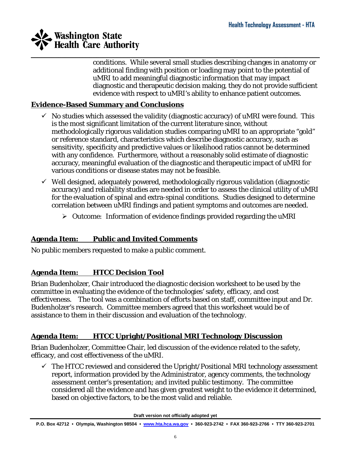

conditions. While several small studies describing changes in anatomy or additional finding with position or loading may point to the potential of uMRI to add meaningful diagnostic information that may impact diagnostic and therapeutic decision making, they do not provide sufficient evidence with respect to uMRI's ability to enhance patient outcomes.

### **Evidence-Based Summary and Conclusions**

- $\checkmark$  No studies which assessed the validity (diagnostic accuracy) of uMRI were found. This is the most significant limitation of the current literature since, without methodologically rigorous validation studies comparing uMRI to an appropriate "gold" or reference standard, characteristics which describe diagnostic accuracy, such as sensitivity, specificity and predictive values or likelihood ratios cannot be determined with any confidence. Furthermore, without a reasonably solid estimate of diagnostic accuracy, meaningful evaluation of the diagnostic and therapeutic impact of uMRI for various conditions or disease states may not be feasible.
- $\checkmark$  Well designed, adequately powered, methodologically rigorous validation (diagnostic accuracy) and reliability studies are needed in order to assess the clinical utility of uMRI for the evaluation of spinal and extra-spinal conditions. Studies designed to determine correlation between uMRI findings and patient symptoms and outcomes are needed.
	- ¾ *Outcome:* Information of evidence findings provided regarding the uMRI

### **Agenda Item: Public and Invited Comments**

No public members requested to make a public comment.

### **Agenda Item: HTCC Decision Tool**

Brian Budenholzer, Chair introduced the diagnostic decision worksheet to be used by the committee in evaluating the evidence of the technologies' safety, efficacy, and cost effectiveness. The tool was a combination of efforts based on staff, committee input and Dr. Budenholzer's research. Committee members agreed that this worksheet would be of assistance to them in their discussion and evaluation of the technology.

### **Agenda Item: HTCC Upright/Positional MRI Technology Discussion**

Brian Budenholzer, Committee Chair, led discussion of the evidence related to the safety, efficacy, and cost effectiveness of the uMRI.

 $\checkmark$  The HTCC reviewed and considered the Upright/Positional MRI technology assessment report, information provided by the Administrator, agency comments, the technology assessment center's presentation; and invited public testimony. The committee considered all the evidence and has given greatest weight to the evidence it determined, based on objective factors, to be the most valid and reliable.